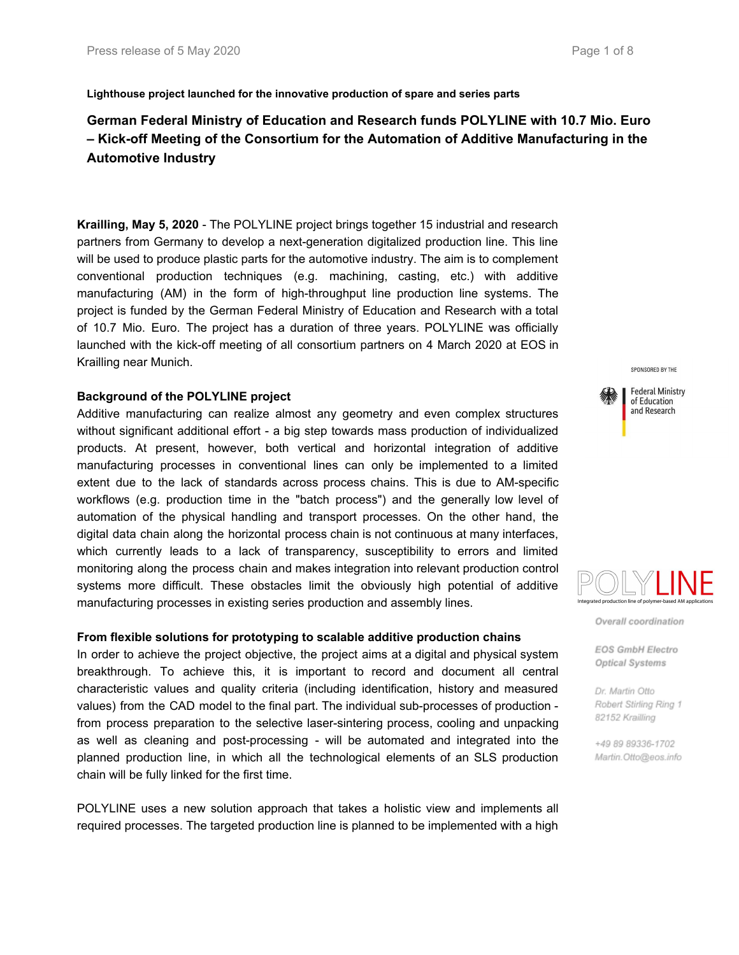**Lighthouse project launched for the innovative production of spare and series parts**

# **German Federal Ministry of Education and Research funds POLYLINE with 10.7 Mio. Euro – Kick-off Meeting of the Consortium for the Automation of Additive Manufacturing in the Automotive Industry**

**Krailling, May 5, 2020** - The POLYLINE project brings together 15 industrial and research partners from Germany to develop a next-generation digitalized production line. This line will be used to produce plastic parts for the automotive industry. The aim is to complement conventional production techniques (e.g. machining, casting, etc.) with additive manufacturing (AM) in the form of high-throughput line production line systems. The project is funded by the German Federal Ministry of Education and Research with a total of 10.7 Mio. Euro. The project has a duration of three years. POLYLINE was officially launched with the kick-off meeting of all consortium partners on 4 March 2020 at EOS in Krailling near Munich.

## **Background of the POLYLINE project**

Additive manufacturing can realize almost any geometry and even complex structures without significant additional effort - a big step towards mass production of individualized products. At present, however, both vertical and horizontal integration of additive manufacturing processes in conventional lines can only be implemented to a limited extent due to the lack of standards across process chains. This is due to AM-specific workflows (e.g. production time in the "batch process") and the generally low level of automation of the physical handling and transport processes. On the other hand, the digital data chain along the horizontal process chain is not continuous at many interfaces, which currently leads to a lack of transparency, susceptibility to errors and limited monitoring along the process chain and makes integration into relevant production control systems more difficult. These obstacles limit the obviously high potential of additive manufacturing processes in existing series production and assembly lines.

#### **From flexible solutions for prototyping to scalable additive production chains**

In order to achieve the project objective, the project aims at a digital and physical system breakthrough. To achieve this, it is important to record and document all central characteristic values and quality criteria (including identification, history and measured values) from the CAD model to the final part. The individual sub-processes of production from process preparation to the selective laser-sintering process, cooling and unpacking as well as cleaning and post-processing - will be automated and integrated into the planned production line, in which all the technological elements of an SLS production chain will be fully linked for the first time.

POLYLINE uses a new solution approach that takes a holistic view and implements all required processes. The targeted production line is planned to be implemented with a high

SPONSORED BY THE **Federal Ministry** of Education

and Research



Overall coordination

**EOS GmbH Electro** Optical Systems

Dr. Martin Otto Robert Stirling Ring 1 82152 Krailling

+49 89 89336-1702 Martin.Otto@eos.info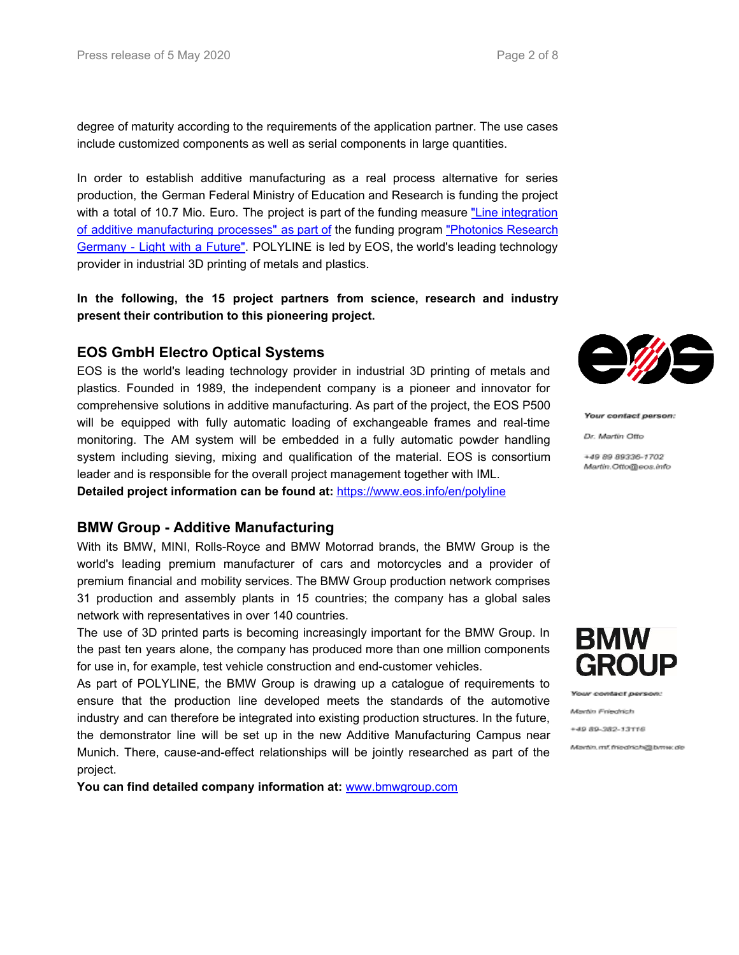degree of maturity according to the requirements of the application partner. The use cases include customized components as well as serial components in large quantities.

In order to establish additive manufacturing as a real process alternative for series production, the German Federal Ministry of Education and Research is funding the project with a total of 10.7 Mio. Euro. The project is part of the funding measure "Line [integration](https://www.photonikforschung.de/projekte/photonische-prozessketten/foerdermassnahme/additive-fertigungsverfahren.html) of additive [manufacturing](https://www.photonikforschung.de/projekte/photonische-prozessketten/foerdermassnahme/additive-fertigungsverfahren.html) processes" as part of the funding program ["Photonics](https://www.photonikforschung.de/foerderung/foerderprogramm.html) Research [Germany](https://www.photonikforschung.de/foerderung/foerderprogramm.html) - Light with a Future". POLYLINE is led by EOS, the world's leading technology provider in industrial 3D printing of metals and plastics.

**In the following, the 15 project partners from science, research and industry present their contribution to this pioneering project.**

## **EOS GmbH Electro Optical Systems**

EOS is the world's leading technology provider in industrial 3D printing of metals and plastics. Founded in 1989, the independent company is a pioneer and innovator for comprehensive solutions in additive manufacturing. As part of the project, the EOS P500 will be equipped with fully automatic loading of exchangeable frames and real-time monitoring. The AM system will be embedded in a fully automatic powder handling system including sieving, mixing and qualification of the material. EOS is consortium leader and is responsible for the overall project management together with IML.

**Detailed project information can be found at:** [https://www.eos.info/en/polyline](https://eur01.safelinks.protection.outlook.com/?url=https%3A%2F%2Fwww.eos.info%2Fen%2Fpolyline&data=01%7C01%7Cpia%40dyemansion.com%7C6ff6198c28d7473ffee008d7f266e196%7Ca3abb1e3514c45f5a54d16c4b87ec141%7C0&sdata=zeVLcDKTbXHZ4J9CCfsvUJdy6EHJJmgBNkCRBpoK%2B3w%3D&reserved=0)

## **BMW Group - Additive Manufacturing**

With its BMW, MINI, Rolls-Royce and BMW Motorrad brands, the BMW Group is the world's leading premium manufacturer of cars and motorcycles and a provider of premium financial and mobility services. The BMW Group production network comprises 31 production and assembly plants in 15 countries; the company has a global sales network with representatives in over 140 countries.

The use of 3D printed parts is becoming increasingly important for the BMW Group. In the past ten years alone, the company has produced more than one million components for use in, for example, test vehicle construction and end-customer vehicles.

As part of POLYLINE, the BMW Group is drawing up a catalogue of requirements to ensure that the production line developed meets the standards of the automotive industry and can therefore be integrated into existing production structures. In the future, the demonstrator line will be set up in the new Additive Manufacturing Campus near Munich. There, cause-and-effect relationships will be jointly researched as part of the project.

**You can find detailed company information at:** [www.bmwgroup.com](http://www.bmwgroup.com/)



Your contact person:

Dr. Martin Offo

+49 89 89336-1702 Martin Offo@eos.info



w contact person: Martin Friedrich

+49 89-382-13116

Martin, mf. friedrich@bmw.de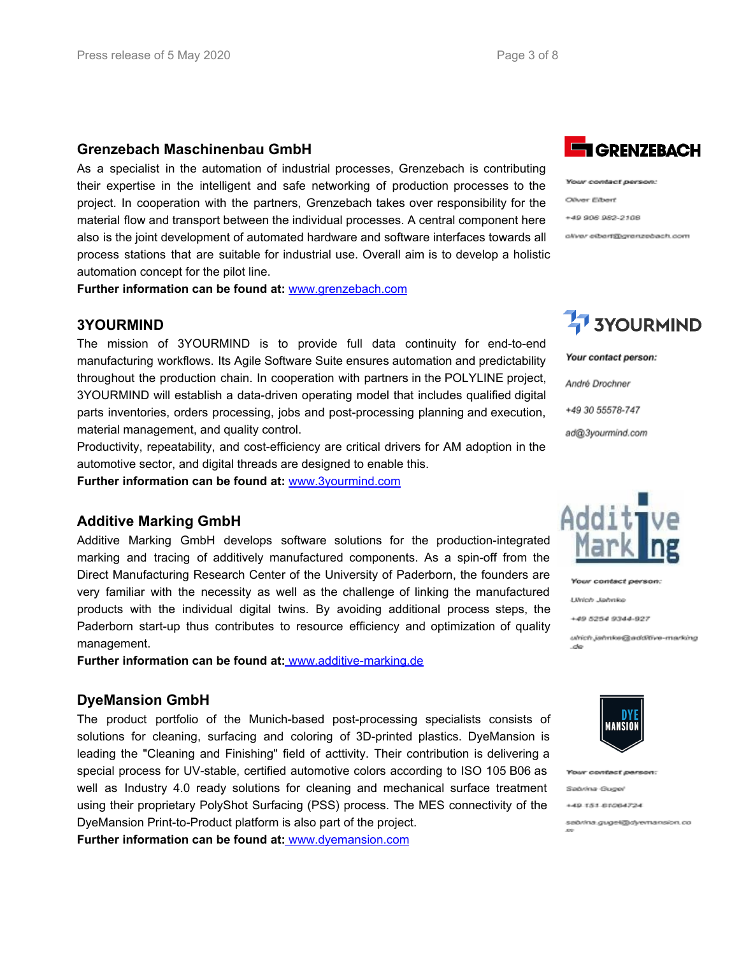## **Grenzebach Maschinenbau GmbH**

As a specialist in the automation of industrial processes, Grenzebach is contributing their expertise in the intelligent and safe networking of production processes to the project. In cooperation with the partners, Grenzebach takes over responsibility for the material flow and transport between the individual processes. A central component here also is the joint development of automated hardware and software interfaces towards all process stations that are suitable for industrial use. Overall aim is to develop a holistic automation concept for the pilot line.

**Further information can be found at:** [www.grenzebach.com](http://www.grenzebach.com/)

## **3YOURMIND**

The mission of 3YOURMIND is to provide full data continuity for end-to-end manufacturing workflows. Its Agile Software Suite ensures automation and predictability throughout the production chain. In cooperation with partners in the POLYLINE project, 3YOURMIND will establish a data-driven operating model that includes qualified digital parts inventories, orders processing, jobs and post-processing planning and execution, material management, and quality control.

Productivity, repeatability, and cost-efficiency are critical drivers for AM adoption in the automotive sector, and digital threads are designed to enable this.

**Further information can be found at:** [www.3yourmind.com](http://www.3yourmind.com/)

#### **Additive Marking GmbH**

Additive Marking GmbH develops software solutions for the production-integrated marking and tracing of additively manufactured components. As a spin-off from the Direct Manufacturing Research Center of the University of Paderborn, the founders are very familiar with the necessity as well as the challenge of linking the manufactured products with the individual digital twins. By avoiding additional process steps, the Paderborn start-up thus contributes to resource efficiency and optimization of quality management.

**Further information can be found at:** [www.additive-marking.de](http://www.additive-marking.de/)

#### **DyeMansion GmbH**

The product portfolio of the Munich-based post-processing specialists consists of solutions for cleaning, surfacing and coloring of 3D-printed plastics. DyeMansion is leading the "Cleaning and Finishing" field of acttivity. Their contribution is delivering a special process for UV-stable, certified automotive colors according to ISO 105 B06 as well as Industry 4.0 ready solutions for cleaning and mechanical surface treatment using their proprietary PolyShot Surfacing (PSS) process. The MES connectivity of the DyeMansion Print-to-Product platform is also part of the project.

**Further information can be found at:** [www.dyemansion.com](http://www.dyemansion.com/)



Your contact person. Oliver Eibert +49 906 982-2108 aliver eiberf@grenzebach.com

# **47 3YOURMIND**

Your contact person:

André Drochner

+49 30 55578-747

ad@3yourmind.com



Your contact person:

Ulrich Jahnke

+49 5254 9344-927

utrich jahnke@additive-marking



**Your contact person** Sabrina Gugel +49 151 61064724 sebrina.guget@dvernansion.co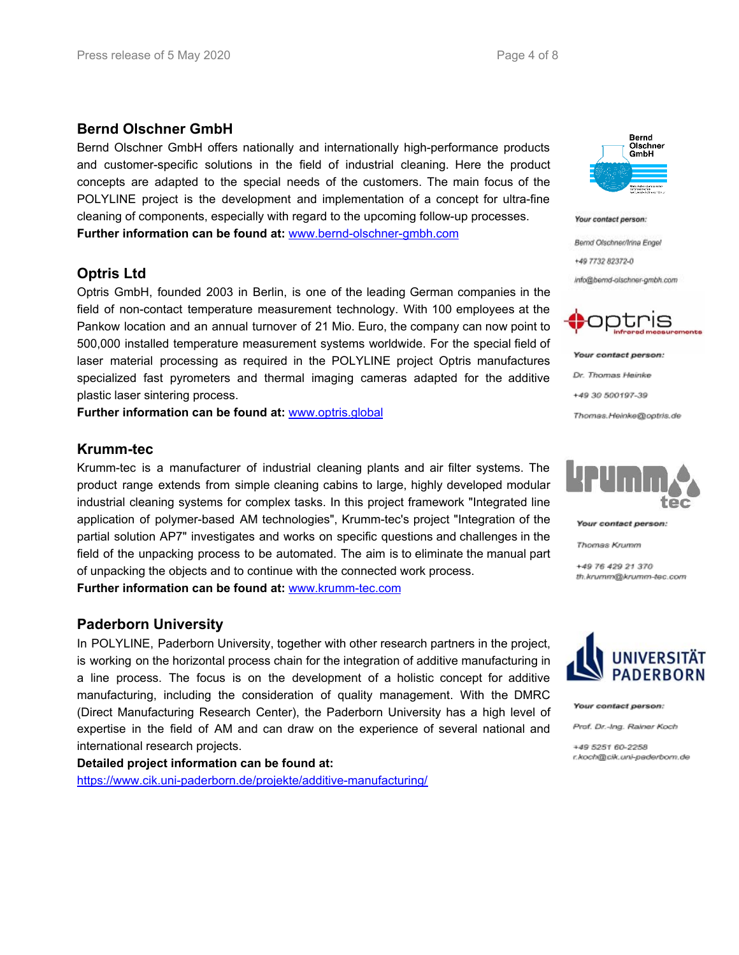## **Bernd Olschner GmbH**

Bernd Olschner GmbH offers nationally and internationally high-performance products and customer-specific solutions in the field of industrial cleaning. Here the product concepts are adapted to the special needs of the customers. The main focus of the POLYLINE project is the development and implementation of a concept for ultra-fine cleaning of components, especially with regard to the upcoming follow-up processes. **Further information can be found at:** [www.bernd-olschner-gmbh.com](http://www.bernd-olschner-gmbh.com/)

## **Optris Ltd**

Optris GmbH, founded 2003 in Berlin, is one of the leading German companies in the field of non-contact temperature measurement technology. With 100 employees at the Pankow location and an annual turnover of 21 Mio. Euro, the company can now point to 500,000 installed temperature measurement systems worldwide. For the special field of laser material processing as required in the POLYLINE project Optris manufactures specialized fast pyrometers and thermal imaging cameras adapted for the additive plastic laser sintering process.

**Further information can be found at:** [www.optris.global](http://www.optris.global/)

## **Krumm-tec**

Krumm-tec is a manufacturer of industrial cleaning plants and air filter systems. The product range extends from simple cleaning cabins to large, highly developed modular industrial cleaning systems for complex tasks. In this project framework "Integrated line application of polymer-based AM technologies", Krumm-tec's project "Integration of the partial solution AP7" investigates and works on specific questions and challenges in the field of the unpacking process to be automated. The aim is to eliminate the manual part of unpacking the objects and to continue with the connected work process.

**Further information can be found at:** [www.krumm-tec.com](http://www.krumm-tec.com/)

## **Paderborn University**

In POLYLINE, Paderborn University, together with other research partners in the project, is working on the horizontal process chain for the integration of additive manufacturing in a line process. The focus is on the development of a holistic concept for additive manufacturing, including the consideration of quality management. With the DMRC (Direct Manufacturing Research Center), the Paderborn University has a high level of expertise in the field of AM and can draw on the experience of several national and international research projects.

**Detailed project information can be found at:** <https://www.cik.uni-paderborn.de/projekte/additive-manufacturing/>



Your contact person:

Bernd Olschner/Irina Engel +49 7732 82372-0 info@bernd-alschner-gmbh.com



Your contact person: Dr. Thomas Heinke +49 30 500197-39 Thomas.Heinke@optris.de



Your contact person:

Thomas Krumm

+49 76 429 21 370 th.knumm@krumm-tec.com



Your contact person:

Prof. Dr.-Ing. Rainer Koch.

+49 5251 60-2258 r.koch@cik.uni-paderbom.de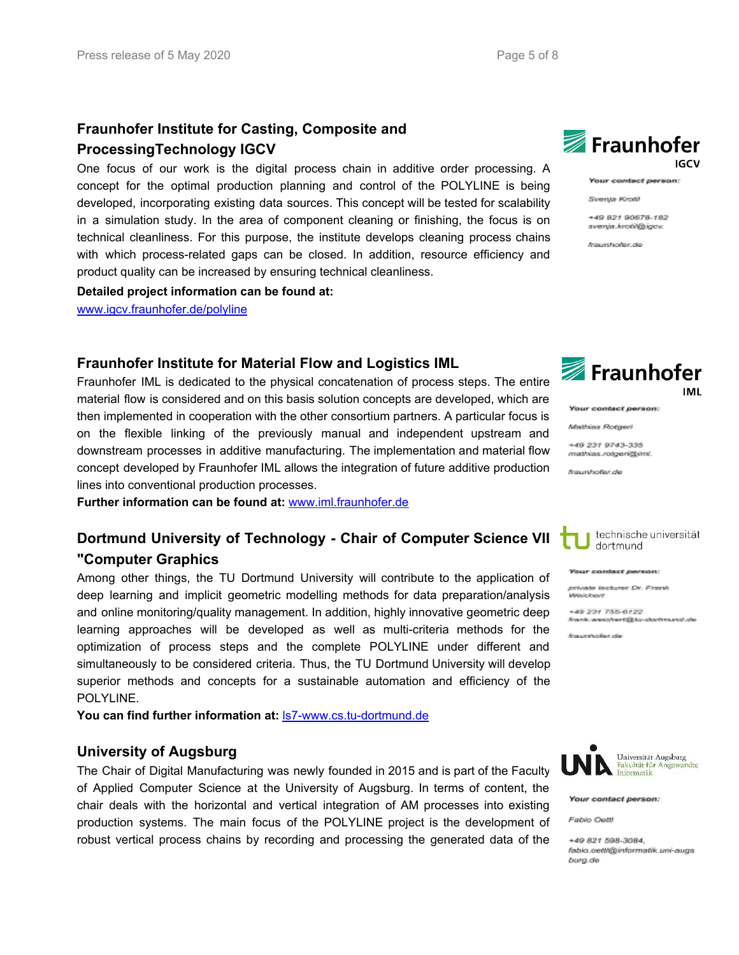# **Fraunhofer Institute for Casting, Composite and ProcessingTechnology IGCV**

One focus of our work is the digital process chain in additive order processing. A concept for the optimal production planning and control of the POLYLINE is being developed, incorporating existing data sources. This concept will be tested for scalability in a simulation study. In the area of component cleaning or finishing, the focus is on technical cleanliness. For this purpose, the institute develops cleaning process chains with which process-related gaps can be closed. In addition, resource efficiency and product quality can be increased by ensuring technical cleanliness.

## **Detailed project information can be found at:**

[www.igcv.fraunhofer.de/polyline](http://www.igcv.fraunhofer.de/polyline)

## **Fraunhofer Institute for Material Flow and Logistics IML**

Fraunhofer IML is dedicated to the physical concatenation of process steps. The entire material flow is considered and on this basis solution concepts are developed, which are then implemented in cooperation with the other consortium partners. A particular focus is on the flexible linking of the previously manual and independent upstream and downstream processes in additive manufacturing. The implementation and material flow concept developed by Fraunhofer IML allows the integration of future additive production lines into conventional production processes.

**Further information can be found at:** [www.iml.fraunhofer.de](http://www.iml.fraunhofer.de/)

# **Dortmund University of Technology - Chair of Computer Science VII "Computer Graphics**

Among other things, the TU Dortmund University will contribute to the application of deep learning and implicit geometric modelling methods for data preparation/analysis and online monitoring/quality management. In addition, highly innovative geometric deep learning approaches will be developed as well as multi-criteria methods for the optimization of process steps and the complete POLYLINE under different and simultaneously to be considered criteria. Thus, the TU Dortmund University will develop superior methods and concepts for a sustainable automation and efficiency of the POLYLINE.

**You can find further information at:** ls7-www.cs.tu-dortmund.de

## **University of Augsburg**

The Chair of Digital Manufacturing was newly founded in 2015 and is part of the Faculty of Applied Computer Science at the University of Augsburg. In terms of content, the chair deals with the horizontal and vertical integration of AM processes into existing production systems. The main focus of the POLYLINE project is the development of robust vertical process chains by recording and processing the generated data of the



Your contact person:

Svenja Krotil

+49 821 90578-182 svenja.krotil@igov.

fraunticifar.do



Your contact person:

Mathias Rotgeri

+49 231 9743-335 mathias.rotgan@im/.

fraunhofer.de



Your contact person:

private lecturer Dr. Frank **Wevicheve** 

49 231 755-6122 frank.weichert@to-dontmund.de

fraundredor de



Your contact person:

Fabio Oattl

+49 821 598-3084. fabio.cettl@informatik.uni-augs burg.de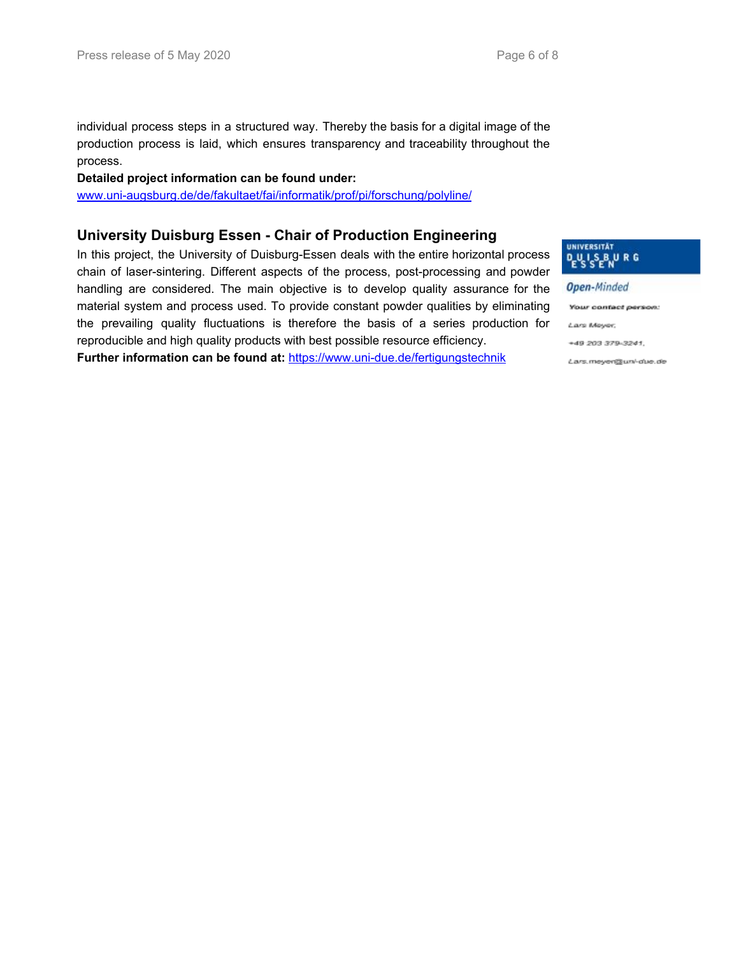individual process steps in a structured way. Thereby the basis for a digital image of the production process is laid, which ensures transparency and traceability throughout the process.

**Detailed project information can be found under:**

www.uni-augsburg.de/de/fakultaet/fai/informatik/prof/pi/forschung/polyline/

## **University Duisburg Essen - Chair of Production Engineering**

In this project, the University of Duisburg-Essen deals with the entire horizontal process chain of laser-sintering. Different aspects of the process, post-processing and powder handling are considered. The main objective is to develop quality assurance for the material system and process used. To provide constant powder qualities by eliminating the prevailing quality fluctuations is therefore the basis of a series production for reproducible and high quality products with best possible resource efficiency.

**Further information can be found at:** <https://www.uni-due.de/fertigungstechnik>



**Open-Minded** 

Your contact person:

Lars Meyer,

+49 203 379-3241.

Lars.meyen@unl-due.de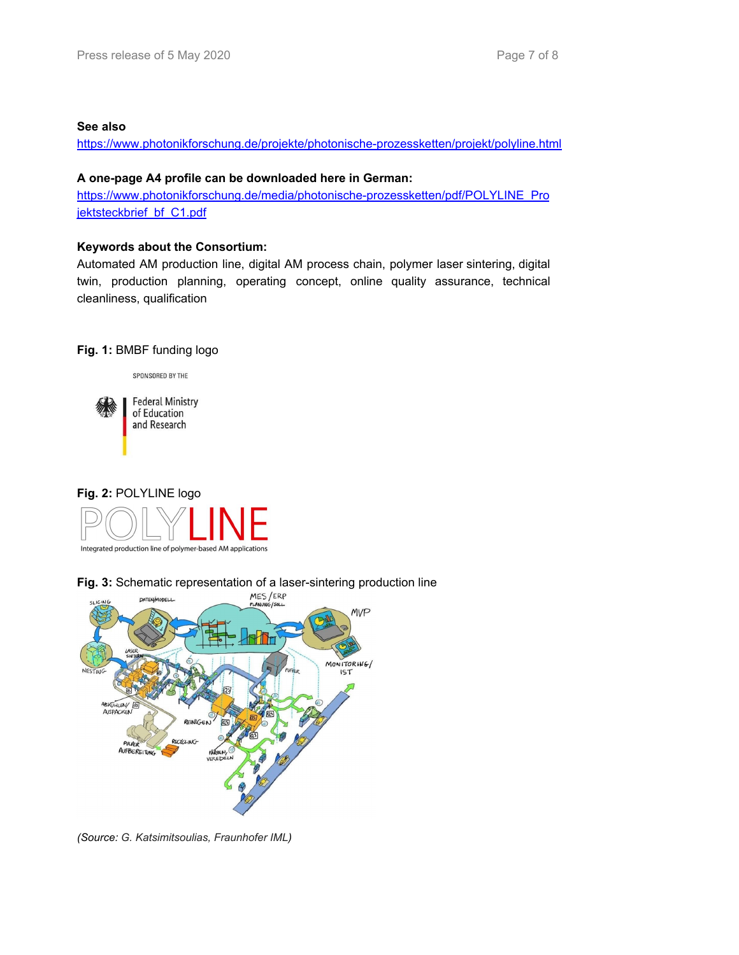### **See also**

<https://www.photonikforschung.de/projekte/photonische-prozessketten/projekt/polyline.html>

## **A one-page A4 profile can be downloaded here in German:**

[https://www.photonikforschung.de/media/photonische-prozessketten/pdf/POLYLINE\\_Pro](https://www.photonikforschung.de/media/photonische-prozessketten/pdf/POLYLINE_Projektsteckbrief_bf_C1.pdf%20) [jektsteckbrief\\_bf\\_C1.pdf](https://www.photonikforschung.de/media/photonische-prozessketten/pdf/POLYLINE_Projektsteckbrief_bf_C1.pdf%20)

## **Keywords about the Consortium:**

Automated AM production line, digital AM process chain, polymer laser sintering, digital twin, production planning, operating concept, online quality assurance, technical cleanliness, qualification

#### **Fig. 1:** BMBF funding logo

SPONSORED BY THE





**Fig. 3:** Schematic representation of a laser-sintering production line



*(Source: G. Katsimitsoulias, Fraunhofer IML)*